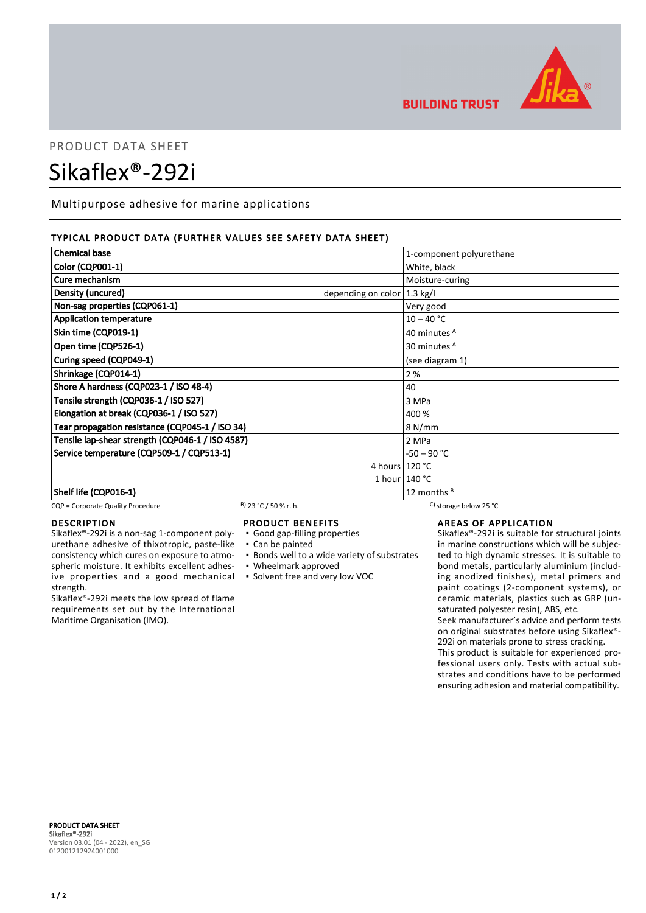

## **BUILDING TRUST**

# PRODUCT DATA SHEET Sikaflex®-292i

Multipurpose adhesive for marine applications

#### TYPICAL PRODUCT DATA (FURTHER VALUES SEE SAFETY DATA SHEET)

| <b>Chemical base</b>                                        | 1-component polyurethane |
|-------------------------------------------------------------|--------------------------|
| <b>Color (CQP001-1)</b>                                     | White, black             |
| Cure mechanism                                              | Moisture-curing          |
| Density (uncured)<br>depending on color $ 1.3 \text{ kg}/I$ |                          |
| Non-sag properties (CQP061-1)                               | Very good                |
| <b>Application temperature</b>                              | $10 - 40 °C$             |
| Skin time (CQP019-1)                                        | 40 minutes A             |
| Open time (CQP526-1)                                        | 30 minutes <sup>A</sup>  |
| Curing speed (CQP049-1)                                     | (see diagram 1)          |
| Shrinkage (CQP014-1)                                        | 2%                       |
| Shore A hardness (CQP023-1 / ISO 48-4)                      | 40                       |
| Tensile strength (CQP036-1 / ISO 527)                       | 3 MPa                    |
| Elongation at break (CQP036-1 / ISO 527)                    | 400 %                    |
| Tear propagation resistance (CQP045-1 / ISO 34)             | 8 N/mm                   |
| Tensile lap-shear strength (CQP046-1 / ISO 4587)            | 2 MPa                    |
| Service temperature (CQP509-1 / CQP513-1)                   | $-50 - 90 °C$            |
|                                                             | 4 hours $120 °C$         |
|                                                             | 1 hour $140 °C$          |
| Shelf life (CQP016-1)                                       | 12 months $B$            |

#### CQP = Corporate Quality Procedure B) 23 °C / 50 % r. h. C) storage below 25 °C

#### DESCRIPTION

Sikaflex®-292i is a non-sag 1-component polyurethane adhesive of thixotropic, paste-like consistency which cures on exposure to atmospheric moisture. It exhibits excellent adhesive properties and a good mechanical strength.

Sikaflex®-292i meets the low spread of flame requirements set out by the International Maritime Organisation (IMO).

#### PRODUCT BENEFITS

- Good gap-filling properties
- Can be painted
- **Bonds well to a wide variety of substrates**
- Wheelmark approved
- Solvent free and very low VOC

AREAS OF APPLICATION

Sikaflex®-292i is suitable for structural joints in marine constructions which will be subjected to high dynamic stresses. It is suitable to bond metals, particularly aluminium (including anodized finishes), metal primers and paint coatings (2-component systems), or ceramic materials, plastics such as GRP (unsaturated polyester resin), ABS, etc.

Seek manufacturer's advice and perform tests on original substrates before using Sikaflex®- 292i on materials prone to stress cracking.

This product is suitable for experienced professional users only. Tests with actual substrates and conditions have to be performed ensuring adhesion and material compatibility.